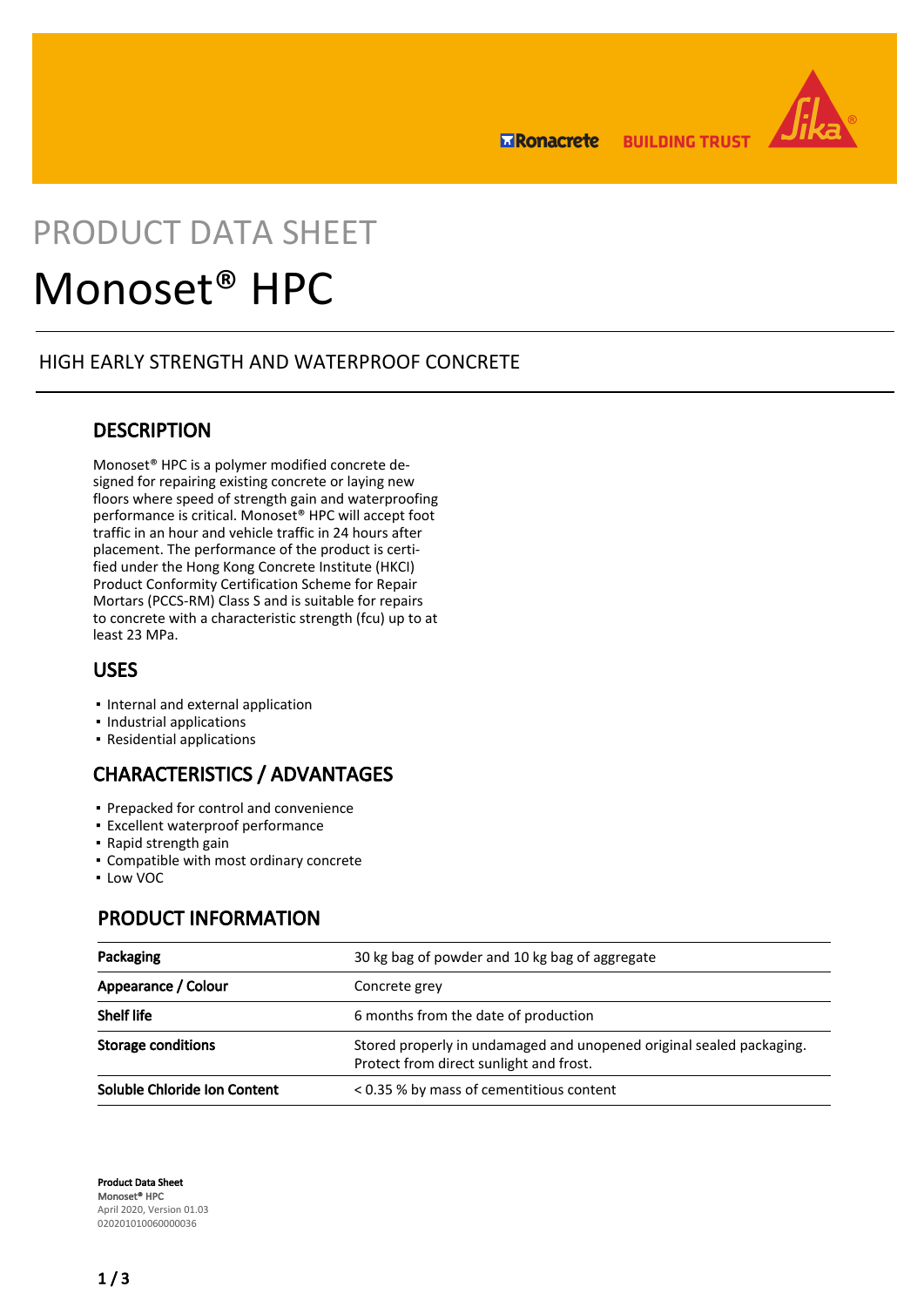**ERonacrete BUILDING TRUST** 



# PRODUCT DATA SHEET

# Monoset® HPC

## HIGH EARLY STRENGTH AND WATERPROOF CONCRETE

## **DESCRIPTION**

Monoset® HPC is a polymer modified concrete designed for repairing existing concrete or laying new floors where speed of strength gain and waterproofing performance is critical. Monoset® HPC will accept foot traffic in an hour and vehicle traffic in 24 hours after placement. The performance of the product is certified under the Hong Kong Concrete Institute (HKCI) Product Conformity Certification Scheme for Repair Mortars (PCCS-RM) Class S and is suitable for repairs to concrete with a characteristic strength (fcu) up to at least 23 MPa.

# USES

- Internal and external application
- Industrial applications
- Residential applications

# CHARACTERISTICS / ADVANTAGES

- Prepacked for control and convenience
- **Excellent waterproof performance**
- Rapid strength gain
- Compatible with most ordinary concrete
- Low VOC

# PRODUCT INFORMATION

| Packaging                    | 30 kg bag of powder and 10 kg bag of aggregate                                                                  |
|------------------------------|-----------------------------------------------------------------------------------------------------------------|
| Appearance / Colour          | Concrete grey                                                                                                   |
| <b>Shelf life</b>            | 6 months from the date of production                                                                            |
| <b>Storage conditions</b>    | Stored properly in undamaged and unopened original sealed packaging.<br>Protect from direct sunlight and frost. |
| Soluble Chloride Ion Content | < 0.35 % by mass of cementitious content                                                                        |

Product Data Sheet Monoset® HPC April 2020, Version 01.03 020201010060000036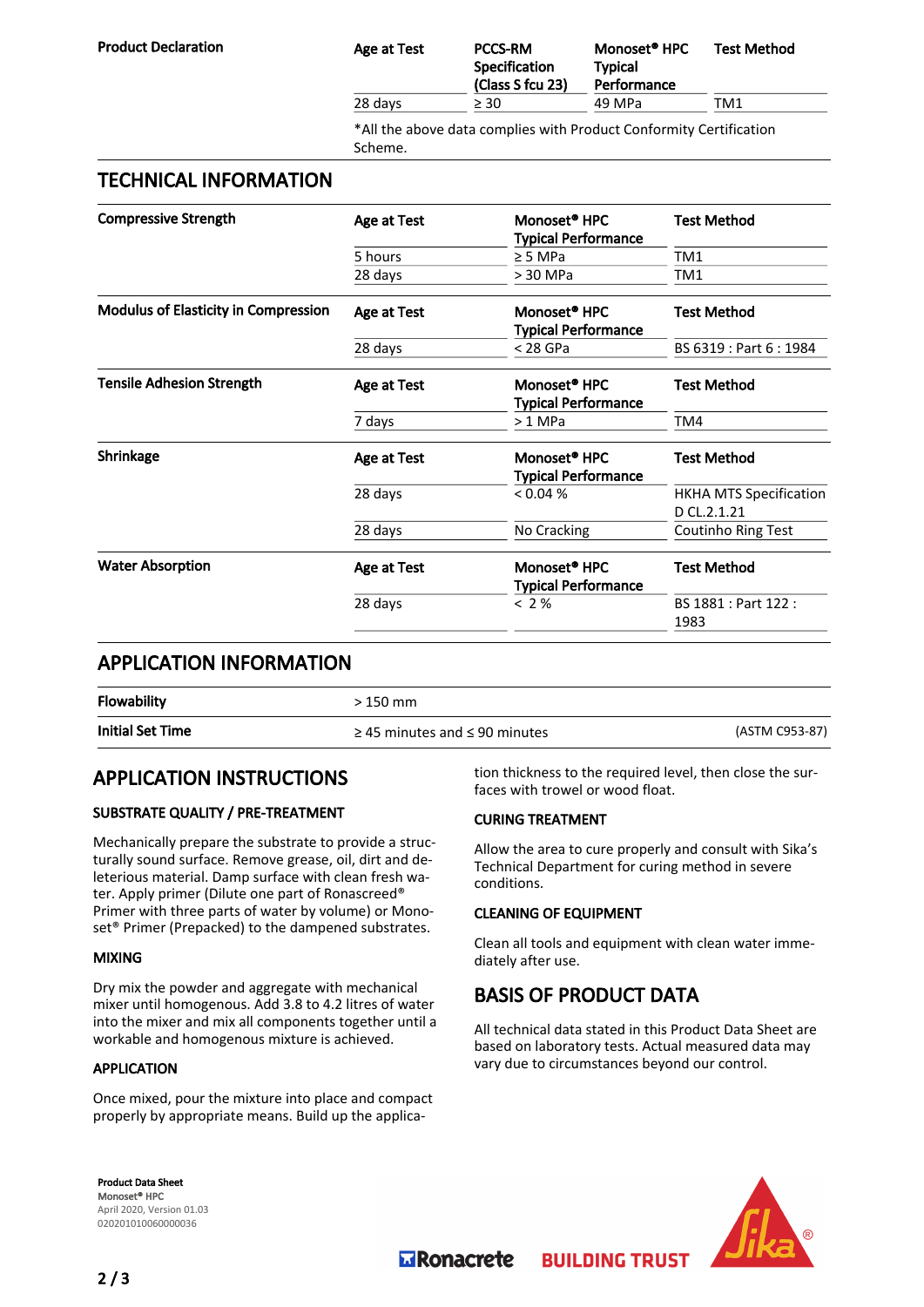| <b>Product Declaration</b>                  | <b>Age at Test</b>                                                            | <b>PCCS-RM</b><br><b>Specification</b><br><b>Typical</b><br>Performance<br>(Class S fcu 23) |                                                        | Monoset <sup>®</sup> HPC | <b>Test Method</b>      |  |
|---------------------------------------------|-------------------------------------------------------------------------------|---------------------------------------------------------------------------------------------|--------------------------------------------------------|--------------------------|-------------------------|--|
|                                             | 28 days                                                                       | $\geq 30$                                                                                   | 49 MPa                                                 |                          | TM1                     |  |
|                                             | *All the above data complies with Product Conformity Certification<br>Scheme. |                                                                                             |                                                        |                          |                         |  |
| <b>TECHNICAL INFORMATION</b>                |                                                                               |                                                                                             |                                                        |                          |                         |  |
| <b>Compressive Strength</b>                 | Monoset <sup>®</sup> HPC<br>Age at Test<br><b>Typical Performance</b>         |                                                                                             |                                                        |                          | <b>Test Method</b>      |  |
|                                             | 5 hours<br>$\geq$ 5 MPa                                                       |                                                                                             | TM <sub>1</sub>                                        |                          |                         |  |
|                                             | 28 days<br>> 30 MPa                                                           |                                                                                             |                                                        | TM1                      |                         |  |
| <b>Modulus of Elasticity in Compression</b> | Monoset <sup>®</sup> HPC<br>Age at Test                                       |                                                                                             | <b>Typical Performance</b>                             |                          | <b>Test Method</b>      |  |
|                                             | 28 days                                                                       | $<$ 28 GPa                                                                                  |                                                        |                          | BS 6319 : Part 6 : 1984 |  |
| <b>Tensile Adhesion Strength</b>            | Age at Test                                                                   |                                                                                             | Monoset <sup>®</sup> HPC<br><b>Typical Performance</b> |                          | <b>Test Method</b>      |  |
|                                             | $>1$ MPa<br>7 days                                                            |                                                                                             |                                                        | TM4                      |                         |  |
| Shrinkage                                   | Age at Test                                                                   |                                                                                             | Monoset <sup>®</sup> HPC                               |                          | <b>Test Method</b>      |  |

# APPLICATION INFORMATION

| <b>Flowability</b>      | > 150 mm                                |                |
|-------------------------|-----------------------------------------|----------------|
| <b>Initial Set Time</b> | $\geq$ 45 minutes and $\leq$ 90 minutes | (ASTM C953-87) |

Water Absorption **Age at Test** Monoset<sup>®</sup> HPC

### APPLICATION INSTRUCTIONS

#### SUBSTRATE QUALITY / PRE-TREATMENT

Mechanically prepare the substrate to provide a structurally sound surface. Remove grease, oil, dirt and deleterious material. Damp surface with clean fresh water. Apply primer (Dilute one part of Ronascreed® Primer with three parts of water by volume) or Monoset® Primer (Prepacked) to the dampened substrates.

#### MIXING

Dry mix the powder and aggregate with mechanical mixer until homogenous. Add 3.8 to 4.2 litres of water into the mixer and mix all components together until a workable and homogenous mixture is achieved.

#### APPLICATION

Once mixed, pour the mixture into place and compact properly by appropriate means. Build up the application thickness to the required level, then close the surfaces with trowel or wood float.

D CL.2.1.21

Test Method

1983

#### CURING TREATMENT

Allow the area to cure properly and consult with Sika's Technical Department for curing method in severe conditions.

#### CLEANING OF EQUIPMENT

Typical Performance

28 days No Cracking Coutinho Ring Test

Typical Performance

28 days < 2 % BS 1881 : Part 122 :

28 days < 0.04 % HKHA MTS Specification

Clean all tools and equipment with clean water immediately after use.

### BASIS OF PRODUCT DATA

**BUILDING TRUST** 

All technical data stated in this Product Data Sheet are based on laboratory tests. Actual measured data may vary due to circumstances beyond our control.

Product Data Sheet Monoset® HPC April 2020, Version 01.03 020201010060000036



**MRonacrete**